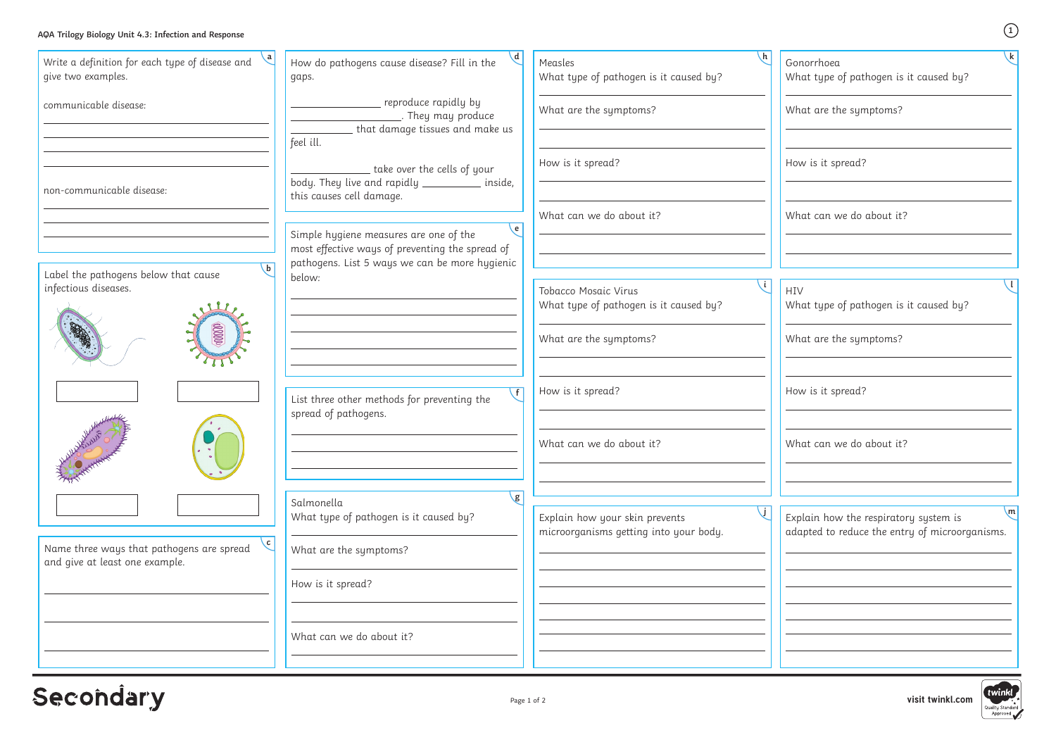**visit twinkl.com**

### **AQA Trilogy Biology Unit 4.3: Infection and Response**

| $\setminus a$<br>Write a definition for each type of disease and<br>give two examples.    | $\mathcal{A}$<br>How do pathogens cause disease? Fill in the<br>gaps.                                       | $\mathsf{h}$<br>Measles<br>What type of pathogen is it caused by?        | $\sqrt{k}$<br>Gonorrhoea<br>What type of pathogen is it caused by?                                      |
|-------------------------------------------------------------------------------------------|-------------------------------------------------------------------------------------------------------------|--------------------------------------------------------------------------|---------------------------------------------------------------------------------------------------------|
| communicable disease:                                                                     | reproduce rapidly by<br>They may produce<br>that damage tissues and make us<br>feel ill.                    | What are the symptoms?                                                   | What are the symptoms?                                                                                  |
| non-communicable disease:                                                                 | take over the cells of your<br>body. They live and rapidly ____________ inside,<br>this causes cell damage. | How is it spread?                                                        | How is it spread?                                                                                       |
|                                                                                           | $\setminus$ e<br>Simple hygiene measures are one of the<br>most effective ways of preventing the spread of  | What can we do about it?                                                 | What can we do about it?                                                                                |
| $\mathbf{b}$<br>Label the pathogens below that cause<br>infectious diseases.              | pathogens. List 5 ways we can be more hygienic<br>below:                                                    | Tobacco Mosaic Virus<br>What type of pathogen is it caused by?           | HIV<br>What type of pathogen is it caused by?                                                           |
| $00000$                                                                                   |                                                                                                             | What are the symptoms?                                                   | What are the symptoms?                                                                                  |
|                                                                                           | $\sqrt{f}$<br>List three other methods for preventing the<br>spread of pathogens.                           | How is it spread?                                                        | How is it spread?                                                                                       |
| HALL ANTHONY                                                                              |                                                                                                             | What can we do about it?                                                 | What can we do about it?                                                                                |
|                                                                                           | $\sqrt{g}$<br>Salmonella<br>What type of pathogen is it caused by?                                          | Explain how your skin prevents<br>microorganisms getting into your body. | $\mathsf{m}$<br>Explain how the respiratory system is<br>adapted to reduce the entry of microorganisms. |
| $\sqrt{c}$<br>Name three ways that pathogens are spread<br>and give at least one example. | What are the symptoms?                                                                                      |                                                                          |                                                                                                         |
|                                                                                           | How is it spread?                                                                                           |                                                                          |                                                                                                         |
|                                                                                           | What can we do about it?                                                                                    |                                                                          |                                                                                                         |

# Secondary

**1**

**k**

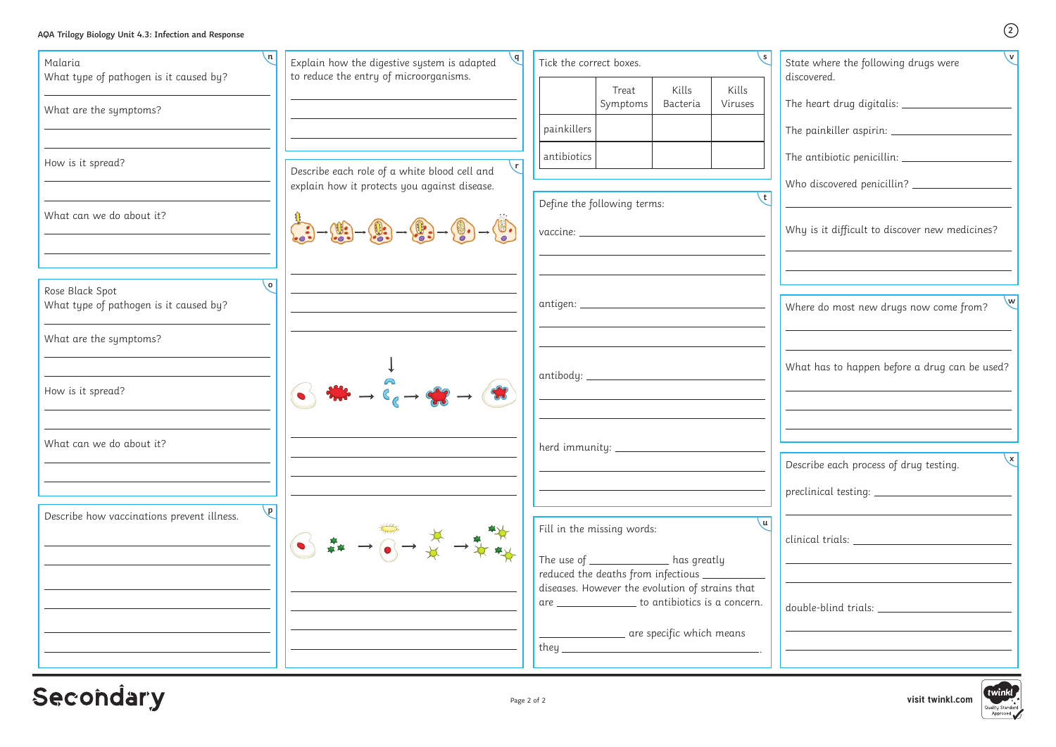**visit twinkl.com**

| AQA Trilogy Biology Unit 4.3: Infection and Response |            |                                                                                                                                                                                                                                                                                                               |                                                                                                                                                          |                   |                                                    |                  | (2)                                                           |  |  |
|------------------------------------------------------|------------|---------------------------------------------------------------------------------------------------------------------------------------------------------------------------------------------------------------------------------------------------------------------------------------------------------------|----------------------------------------------------------------------------------------------------------------------------------------------------------|-------------------|----------------------------------------------------|------------------|---------------------------------------------------------------|--|--|
| Malaria<br>What type of pathogen is it caused by?    | $\sqrt{n}$ | $\sqrt{d}$<br>Explain how the digestive system is adapted<br>to reduce the entry of microorganisms.                                                                                                                                                                                                           | Tick the correct boxes.                                                                                                                                  |                   |                                                    |                  | $\vee$<br>State where the following drugs were<br>discovered. |  |  |
|                                                      |            |                                                                                                                                                                                                                                                                                                               |                                                                                                                                                          | Treat<br>Symptoms | Kills<br>Bacteria                                  | Kills<br>Viruses | The heart drug digitalis: _________________                   |  |  |
| What are the symptoms?                               |            |                                                                                                                                                                                                                                                                                                               | painkillers                                                                                                                                              |                   |                                                    |                  | The painkiller aspirin: ____________________                  |  |  |
|                                                      |            |                                                                                                                                                                                                                                                                                                               | antibiotics                                                                                                                                              |                   |                                                    |                  |                                                               |  |  |
| How is it spread?                                    |            | $\mathsf{r}$<br>Describe each role of a white blood cell and<br>explain how it protects you against disease.                                                                                                                                                                                                  |                                                                                                                                                          |                   |                                                    |                  |                                                               |  |  |
| What can we do about it?                             |            |                                                                                                                                                                                                                                                                                                               | Define the following terms:                                                                                                                              |                   |                                                    |                  |                                                               |  |  |
|                                                      |            | $\begin{pmatrix} 0 & 0 & 0 \\ 0 & 0 & 0 \\ 0 & 0 & 0 \end{pmatrix} \rightarrow \begin{pmatrix} 0 & 0 & 0 \\ 0 & 0 & 0 \\ 0 & 0 & 0 \end{pmatrix} \rightarrow \begin{pmatrix} 0 & 0 & 0 \\ 0 & 0 & 0 \\ 0 & 0 & 0 \end{pmatrix} \rightarrow \begin{pmatrix} 0 & 0 & 0 \\ 0 & 0 & 0 \\ 0 & 0 & 0 \end{pmatrix}$ |                                                                                                                                                          |                   |                                                    |                  | Why is it difficult to discover new medicines?                |  |  |
| Rose Black Spot                                      | $\circ$    |                                                                                                                                                                                                                                                                                                               |                                                                                                                                                          |                   |                                                    |                  | w                                                             |  |  |
| What type of pathogen is it caused by?               |            | antigen: _____________________________                                                                                                                                                                                                                                                                        |                                                                                                                                                          |                   |                                                    |                  | Where do most new drugs now come from?                        |  |  |
| What are the symptoms?                               |            |                                                                                                                                                                                                                                                                                                               |                                                                                                                                                          |                   |                                                    |                  |                                                               |  |  |
|                                                      |            |                                                                                                                                                                                                                                                                                                               | antibody: _____________________                                                                                                                          |                   |                                                    |                  | What has to happen before a drug can be used?                 |  |  |
| How is it spread?                                    |            |                                                                                                                                                                                                                                                                                                               |                                                                                                                                                          |                   |                                                    |                  |                                                               |  |  |
| What can we do about it?                             |            |                                                                                                                                                                                                                                                                                                               | herd immunity: __________________                                                                                                                        |                   |                                                    |                  |                                                               |  |  |
|                                                      |            |                                                                                                                                                                                                                                                                                                               |                                                                                                                                                          |                   |                                                    |                  | $\mathsf{X}$<br>Describe each process of drug testing.        |  |  |
|                                                      |            |                                                                                                                                                                                                                                                                                                               |                                                                                                                                                          |                   |                                                    |                  |                                                               |  |  |
| Describe how vaccinations prevent illness.           | $\sqrt{p}$ |                                                                                                                                                                                                                                                                                                               | Fill in the missing words:                                                                                                                               |                   |                                                    | ∖u I             |                                                               |  |  |
|                                                      |            | 6 <del>2</del> → 6 → * → * **                                                                                                                                                                                                                                                                                 | The use of ______________ has greatly                                                                                                                    |                   |                                                    |                  |                                                               |  |  |
|                                                      |            |                                                                                                                                                                                                                                                                                                               | reduced the deaths from infectious ___________<br>diseases. However the evolution of strains that<br>are __________________ to antibiotics is a concern. |                   |                                                    |                  |                                                               |  |  |
|                                                      |            |                                                                                                                                                                                                                                                                                                               |                                                                                                                                                          |                   |                                                    |                  |                                                               |  |  |
|                                                      |            |                                                                                                                                                                                                                                                                                                               |                                                                                                                                                          |                   | <u>__________________</u> are specific which means |                  |                                                               |  |  |
|                                                      |            |                                                                                                                                                                                                                                                                                                               |                                                                                                                                                          |                   |                                                    |                  |                                                               |  |  |

# Secondary

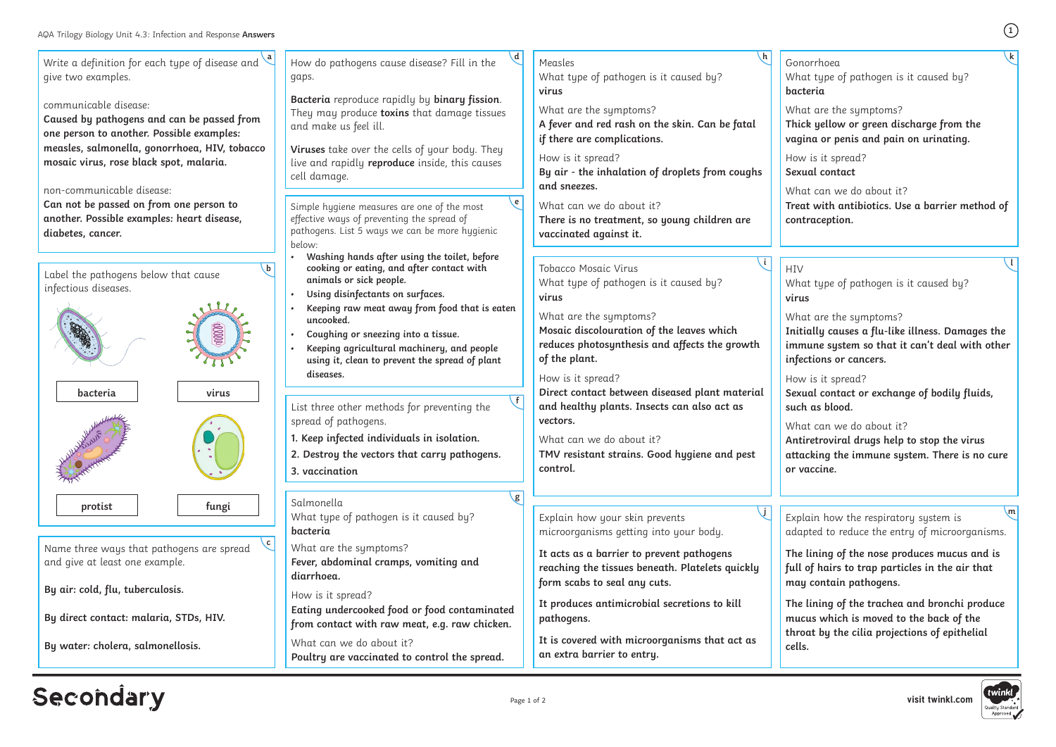Write a definition for each type of disease and **a** give two examples. communicable disease: **Caused by pathogens and can be passed from one person to another. Possible examples: measles, salmonella, gonorrhoea, HIV, tobacco mosaic virus, rose black spot, malaria.** non-communicable disease: **Can not be passed on from one person to another. Possible examples: heart disease, diabetes, cancer.** Label the pathogens below that cause infectious diseases. **b** How do pathogens cause disease? Fill in the gaps. **Bacteria** reproduce rapidly by **binary fission**. They may produce **toxins** that damage tissues and make us feel ill. **Viruses** take over the cells of your body. They live and rapidly **reproduce** inside, this causes cell damage. **d** Simple hygiene measures are one of the most effective ways of preventing the spread of pathogens. List 5 ways we can be more hygienic below: **• Washing hands after using the toilet, before cooking or eating, and after contact with animals or sick people. • Using disinfectants on surfaces. • Keeping raw meat away from food that is eaten uncooked. • Coughing or sneezing into a tissue. • Keeping agricultural machinery, and people using it, clean to prevent the spread of plant diseases. e** Name three ways that pathogens are spread and give at least one example. **By air: cold, flu, tuberculosis. By direct contact: malaria, STDs, HIV. By water: cholera, salmonellosis. c** Salmonella What type of pathogen is it caused by? **bacteria** What are the symptoms? **Fever, abdominal cramps, vomiting and diarrhoea.** How is it spread? **Eating undercooked food or food contaminated from contact with raw meat, e.g. raw chicken.** What can we do about it? **Poultry are vaccinated to control the spread. g** List three other methods for preventing the spread of pathogens. **1. Keep infected individuals in isolation. 2. Destroy the vectors that carry pathogens. 3. vaccination f** Measles What type of pathogen is it caused by? **virus** What are the symptoms? **A fever and red rash on the skin. Can be fatal if there are complications.** How is it spread? **By air - the inhalation of droplets from coughs and sneezes.** What can we do about it? **There is no treatment, so young children are vaccinated against it. h** Tobacco Mosaic Virus What type of pathogen is it caused by? **virus** What are the symptoms? **Mosaic discolouration of the leaves which reduces photosynthesis and affects the growth of the plant.** How is it spread? **Direct contact between diseased plant material and healthy plants. Insects can also act as vectors.** What can we do about it? **TMV resistant strains. Good hygiene and pest control. i bacteria virus protist fungi** Explain how your skin prevents microorganisms getting into your body. **It acts as a barrier to prevent pathogens reaching the tissues beneath. Platelets quickly form scabs to seal any cuts. It produces antimicrobial secretions to kill pathogens. It is covered with microorganisms that act as an extra barrier to entry. j**

# **Secondary**

What can we do about it? **Treat with antibiotics. Use a barrier method of contraception.**

**HIV** 

**1**

Gonorrhoea What type of pathogen is it caused by? **bacteria**

What are the symptoms?

**Thick yellow or green discharge from the vagina or penis and pain on urinating.**

How is it spread? **Sexual contact**

**k**

What type of pathogen is it caused by? **virus**

What are the symptoms?

**Initially causes a flu-like illness. Damages the immune system so that it can't deal with other infections or cancers.**

How is it spread?

**Sexual contact or exchange of bodily fluids, such as blood.**

What can we do about it?

**Antiretroviral drugs help to stop the virus attacking the immune system. There is no cure or vaccine.** 

**l**

**The lining of the nose produces mucus and is full of hairs to trap particles in the air that may contain pathogens.**

Explain how the respiratory system is adapted to reduce the entry of microorganisms. **m**

**The lining of the trachea and bronchi produce mucus which is moved to the back of the throat by the cilia projections of epithelial cells.**